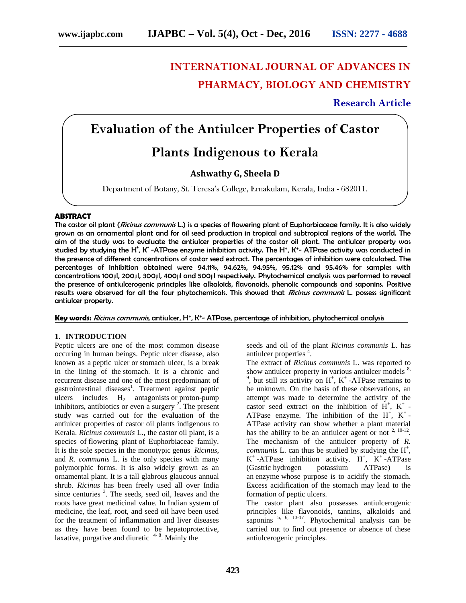# **INTERNATIONAL JOURNAL OF ADVANCES IN PHARMACY, BIOLOGY AND CHEMISTRY**

**Research Article**

# **Evaluation of the Antiulcer Properties of Castor**

# **Plants Indigenous to Kerala**

# **Ashwathy G, Sheela D**

Department of Botany, St. Teresa's College, Ernakulam, Kerala, India - 682011.

## **ABSTRACT**

The castor oil plant (*Ricinus communis* L.) is a species of flowering plant of Euphorbiaceae family. It is also widely grown as an ornamental plant and for oil seed production in tropical and subtropical regions of the world. The aim of the study was to evaluate the antiulcer properties of the castor oil plant. The antiulcer property was studied by studying the H', K' -ATPase enzyme inhibition activity. The H', K'- ATPase activity was conducted in the presence of different concentrations of castor seed extract. The percentages of inhibition were calculated. The percentages of inhibition obtained were 94.11%, 94.62%, 94.95%, 95.12% and 95.46% for samples with concentrations 100μl, 200μl, 300μl, 400μl and 500μl respectively. Phytochemical analysis was performed to reveal the presence of antiulcerogenic principles like alkaloids, flavonoids, phenolic compounds and saponins. Positive results were observed for all the four phytochemicals. This showed that *Ricinus communis* L. possess significant antiulcer property.

**Key words:** *Ricinus communis*, antiulcer, H⁺, K⁺- ATPase, percentage of inhibition, phytochemical analysis

#### **1. INTRODUCTION**

Peptic ulcers are one of the most common disease occuring in human beings. Peptic ulcer disease, also known as a peptic ulcer or stomach ulcer, is a break in the lining of the stomach. It is a chronic and recurrent disease and one of the most predominant of gastrointestinal diseases<sup>1</sup>. Treatment against peptic ulcers includes  $H_2$  antagonists or proton-pump inhibitors, antibiotics or even a surgery  $2^7$ . The present study was carried out for the evaluation of the antiulcer properties of castor oil plants indigenous to Kerala. *Ricinus communis* L., the castor oil plant, is a species of flowering plant of Euphorbiaceae family. It is the sole species in the monotypic genus *Ricinus*, and *R. communis* L. is the only species with many polymorphic forms. It is also widely grown as an ornamental plant. It is a tall glabrous glaucous annual shrub. *Ricinus* has been freely used all over India since centuries <sup>3</sup>. The seeds, seed oil, leaves and the roots have great medicinal value. In Indian system of medicine, the leaf, root, and seed oil have been used for the treatment of inflammation and liver diseases as they have been found to be hepatoprotective, laxative, purgative and diuretic  $4-8$ . Mainly the

seeds and oil of the plant *Ricinus communis* L. has antiulcer properties <sup>4</sup>.

The extract of *Ricinus communis* L. was reported to show antiulcer property in various antiulcer models  $8$ , , but still its activity on  $H^+$ ,  $K^+$ -ATPase remains to be unknown. On the basis of these observations, an attempt was made to determine the activity of the castor seed extract on the inhibition of  $H^+$ ,  $K^+$  -ATPase enzyme. The inhibition of the  $H^+$ ,  $K^+$ -ATPase activity can show whether a plant material has the ability to be an antiulcer agent or not  $2, 10-12$ . The mechanism of the antiulcer property of *R. communis* L. can thus be studied by studying the  $H^+$ ,  $K^+$ -ATPase inhibition activity.  $H^+$ ,  $K^+$ -ATPase (Gastric hydrogen potassium ATPase) is an enzyme whose purpose is to acidify the stomach. Excess acidification of the stomach may lead to the formation of peptic ulcers.

The castor plant also possesses antiulcerogenic principles like flavonoids, tannins, alkaloids and saponins  $5, 6, 13-17$ . Phytochemical analysis can be carried out to find out presence or absence of these antiulcerogenic principles.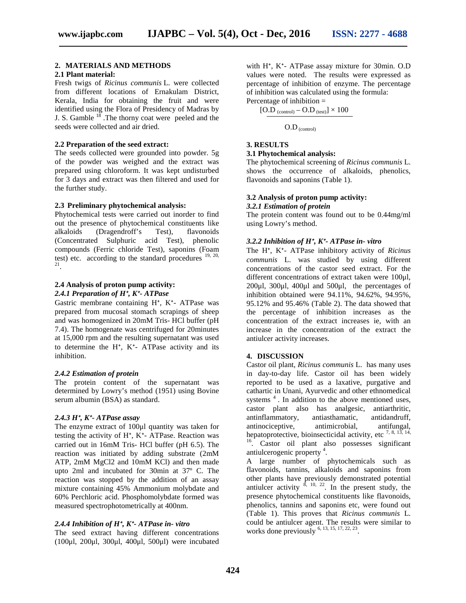# **2. MATERIALS AND METHODS**

# **2.1 Plant material:**

Fresh twigs of *Ricinus communis* L. were collected from different locations of Ernakulam District, Kerala, India for obtaining the fruit and were identified using the Flora of Presidency of Madras by J. S. Gamble <sup>18</sup>. The thorny coat were peeled and the seeds were collected and air dried.

#### **2.2 Preparation of the seed extract:**

The seeds collected were grounded into powder. 5g of the powder was weighed and the extract was prepared using chloroform. It was kept undisturbed for 3 days and extract was then filtered and used for the further study.

### **2.3 Preliminary phytochemical analysis:**

Phytochemical tests were carried out inorder to find out the presence of phytochemical constituents like alkaloids (Dragendroff's Test), flavonoids (Concentrated Sulphuric acid Test), phenolic compounds (Ferric chloride Test), saponins (Foam test) etc. according to the standard procedures  $^{19, 20, 21}$ .

# **2.4 Analysis of proton pump activity:** *2.4.1 Preparation of H⁺, K⁺- ATPase*

Gastric membrane containing H<sup>+</sup>, K<sup>+</sup>- ATPase was prepared from mucosal stomach scrapings of sheep and was homogenized in 20mM Tris- HCl buffer (pH 7.4). The homogenate was centrifuged for 20minutes at 15,000 rpm and the resulting supernatant was used to determine the  $H^*$ ,  $K^*$ - ATPase activity and its inhibition.

#### *2.4.2 Estimation of protein*

The protein content of the supernatant was determined by Lowry's method (1951) using Bovine serum albumin (BSA) as standard.

#### *2.4.3 H⁺, K⁺- ATPase assay*

The enzyme extract of 100μl quantity was taken for testing the activity of  $H^*$ ,  $K^*$ - ATPase. Reaction was carried out in 16mM Tris- HCl buffer (pH 6.5). The reaction was initiated by adding substrate (2mM ATP, 2mM MgCl2 and 10mM KCl) and then made upto 2ml and incubated for 30min at 37º C. The reaction was stopped by the addition of an assay mixture containing 45% Ammonium molybdate and 60% Perchloric acid. Phosphomolybdate formed was measured spectrophotometrically at 400nm.

#### *2.4.4 Inhibition of H⁺, K⁺- ATPase in- vitro*

The seed extract having different concentrations (100μl, 200μl, 300μl, 400μl, 500μl) were incubated

with H<sup>+</sup>, K<sup>+</sup>- ATPase assay mixture for 30min. O.D values were noted. The results were expressed as percentage of inhibition of enzyme. The percentage of inhibition was calculated using the formula: Percentage of inhibition  $=$ 

$$
[O.D]_{\text{(control)}} - O.D_{\text{(test)}}] \times 100
$$

O.D (control)

#### **3. RESULTS**

### **3.1 Phytochemical analysis:**

The phytochemical screening of *Ricinus communis* L. shows the occurrence of alkaloids, phenolics, flavonoids and saponins (Table 1).

#### **3.2 Analysis of proton pump activity:**

*3.2.1 Estimation of protein*

The protein content was found out to be 0.44mg/ml using Lowry's method.

#### *3.2.2 Inhibition of H⁺, K⁺- ATPase in- vitro*

The H<sup>+</sup>, K<sup>+</sup>- ATPase inhibitory activity of *Ricinus communis* L. was studied by using different concentrations of the castor seed extract. For the different concentrations of extract taken were 100μl, 200μl, 300μl, 400μl and 500μl, the percentages of inhibition obtained were 94.11%, 94.62%, 94.95%, 95.12% and 95.46% (Table 2). The data showed that the percentage of inhibition increases as the concentration of the extract increases ie, with an increase in the concentration of the extract the antiulcer activity increases.

# **4. DISCUSSION**

Castor oil plant, *Ricinus communis* L. has many uses in day-to-day life. Castor oil has been widely reported to be used as a laxative, purgative and cathartic in Unani, Ayurvedic and other ethnomedical systems  $4$ . In addition to the above mentioned uses, castor plant also has analgesic, antiarthritic, antinflammatory, antiasthamatic, antidandruff, antinociceptive, antimicrobial, antifungal, hepatoprotective, bioinsecticidal activity, etc<sup>7, 8, 13, 14,</sup> <sup>16</sup>. Castor oil plant also possesses significant antiulcerogenic property <sup>4</sup> .

A large number of phytochemicals such as flavonoids, tannins, alkaloids and saponins from other plants have previously demonstrated potential antiulcer activity  $\frac{8}{10}$ ,  $\frac{10}{22}$ . In the present study, the presence phytochemical constituents like flavonoids, phenolics, tannins and saponins etc, were found out (Table 1). This proves that *Ricinus communis* L. could be antiulcer agent. The results were similar to works done previously  $^{6, 13, 15, 17, 22, 23}$ .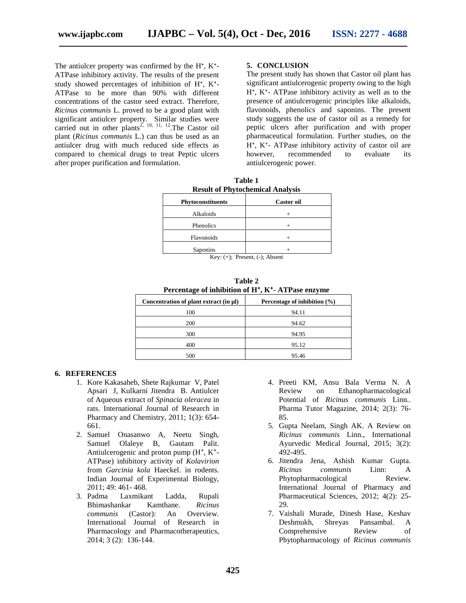The antiulcer property was confirmed by the  $H^*$ ,  $K^*$ -ATPase inhibitory activity. The results of the present study showed percentages of inhibition of  $H^*$ ,  $K^*$ -ATPase to be more than 90% with different concentrations of the castor seed extract. Therefore, *Ricinus communis* L. proved to be a good plant with significant antiulcer property. Similar studies were carried out in other plants<sup>2, 10, 11, 12</sup>. The Castor oil plant (*Ricinus communis* L*.*) can thus be used as an antiulcer drug with much reduced side effects as compared to chemical drugs to treat Peptic ulcers after proper purification and formulation.

#### **5. CONCLUSION**

The present study has shown that Castor oil plant has significant antiulcerogenic property owing to the high  $H^*$ ,  $K^*$ - ATPase inhibitory activity as well as to the presence of antiulcerogenic principles like alkaloids, flavonoids, phenolics and saponins. The present study suggests the use of castor oil as a remedy for peptic ulcers after purification and with proper pharmaceutical formulation. Further studies, on the H<sup>\*</sup>, K<sup>\*</sup>- ATPase inhibitory activity of castor oil are however, recommended to evaluate its antiulcerogenic power.

| таше г<br><b>Result of Phytochemical Analysis</b> |                   |  |
|---------------------------------------------------|-------------------|--|
| <b>Phytoconstituents</b>                          | <b>Castor oil</b> |  |
| Alkaloids                                         |                   |  |
| Phenolics                                         |                   |  |
| Flavonoids                                        | $^+$              |  |
| Saponins                                          |                   |  |

**Table 1**

Key: (+); Present, (-); Absent

**Table 2**

| Percentage of inhibition of H <sup>+</sup> , K <sup>+</sup> -ATPase enzyme |                                  |
|----------------------------------------------------------------------------|----------------------------------|
| Concentration of plant extract (in µl)                                     | Percentage of inhibition $(\% )$ |
| 100                                                                        | 94.11                            |
| 200                                                                        | 94.62                            |
| 300                                                                        | 94.95                            |
| 400                                                                        | 95.12                            |
| 500                                                                        | 95.46                            |

#### **6. REFERENCES**

- 1. Kore Kakasaheb, Shete Rajkumar V, Patel Apsari J, Kulkarni Jitendra B. Antiulcer of Aqueous extract of *Spinacia oleracea* in rats. International Journal of Research in Pharmacy and Chemistry, 2011; 1(3): 654- 661.
- 2. Samuel Onasanwo A, Neetu Singh, Samuel Olaleye B, Gautam Palit. Antiulcerogenic and proton pump (H<sup>+</sup>, K<sup>+</sup>-ATPase) inhibitory activity of *Kolavirion* from *Garcinia kola* Haeckel. in rodents. Indian Journal of Experimental Biology, 2011; 49: 461- 468.
- 3. Padma Laxmikant Ladda, Rupali Bhimashankar Kamthane. *Ricinus communis* (Castor): An Overview. International Journal of Research in Pharmacology and Pharmacotherapeutics, 2014; 3 (2): 136-144.
- 4. Preeti KM, Ansu Bala Verma N. A Review on Ethanopharmacological Potential of *Ricinus communis* Linn.. Pharma Tutor Magazine, 2014; 2(3): 76- 85.
- 5. Gupta Neelam, Singh AK. A Review on *Ricinus communis* Linn., International Ayurvedic Medical Journal, 2015; 3(2): 492-495.
- 6. Jitendra Jena, Ashish Kumar Gupta. *Ricinus communis* Linn: A Phytopharmacological Review. International Journal of Pharmacy and Pharmaceutical Sciences, 2012; 4(2): 25- 29.
- 7. Vaishali Murade, Dinesh Hase, Keshav Deshmukh, Shreyas Pansambal. A Comprehensive Review of Phytopharmacology of *Ricinus communis*